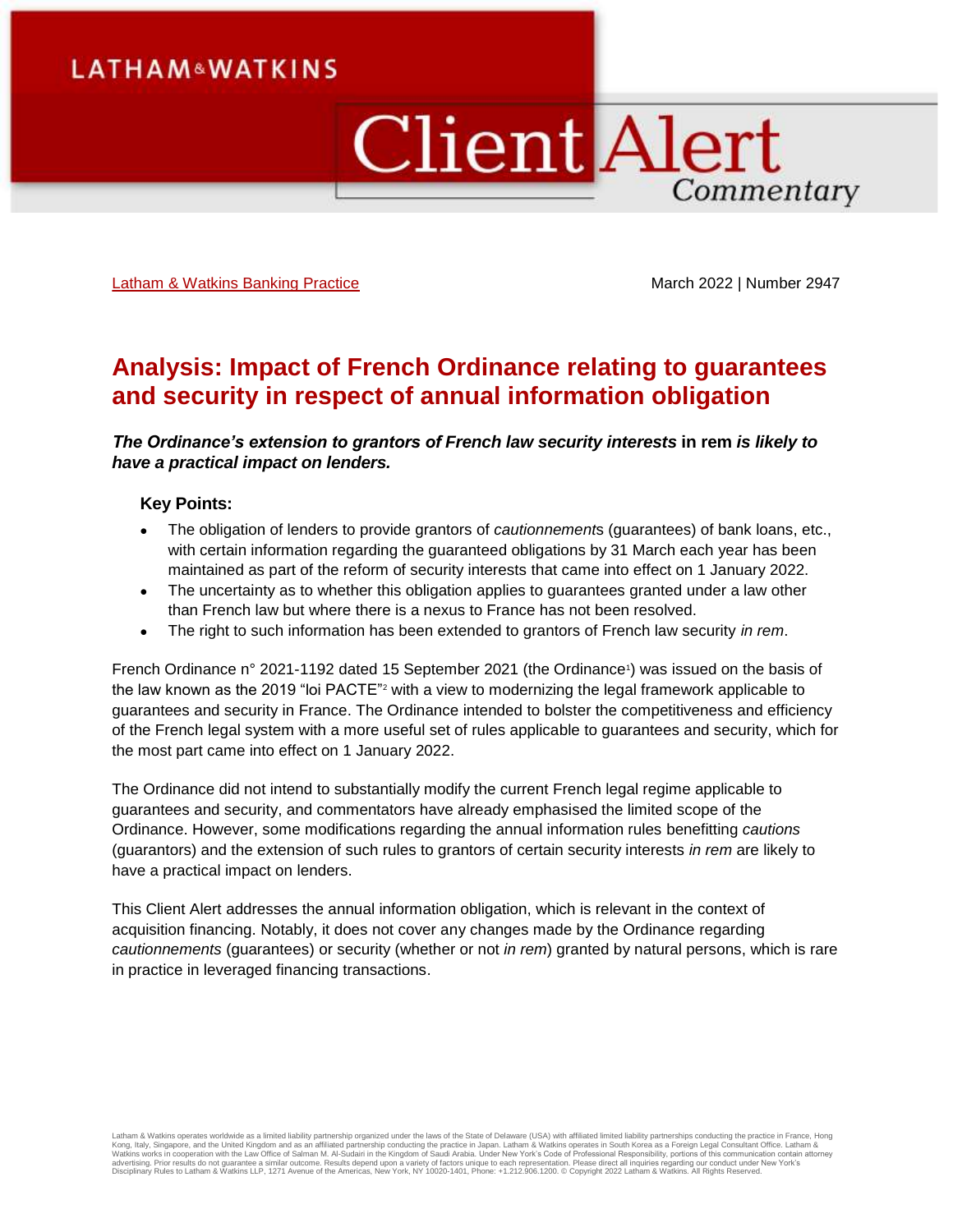# **Client Alert** Commentary

[Latham & Watkins Banking Practice](https://www.lw.com/practices/Banking) **March 2022** | Number 2947

# **Analysis: Impact of French Ordinance relating to guarantees and security in respect of annual information obligation**

*The Ordinance's extension to grantors of French law security interests* **in rem** *is likely to have a practical impact on lenders.*

### **Key Points:**

- The obligation of lenders to provide grantors of *cautionnement*s (guarantees) of bank loans, etc., with certain information regarding the guaranteed obligations by 31 March each year has been maintained as part of the reform of security interests that came into effect on 1 January 2022.
- The uncertainty as to whether this obligation applies to guarantees granted under a law other than French law but where there is a nexus to France has not been resolved.
- The right to such information has been extended to grantors of French law security *in rem*.

French Ordinance n° 2021-1192 dated 15 September 2021 (the Ordinance<sup>1</sup>) was issued on the basis of the law known as the 2019 "loi PACTE"<sup>2</sup> with a view to modernizing the legal framework applicable to guarantees and security in France. The Ordinance intended to bolster the competitiveness and efficiency of the French legal system with a more useful set of rules applicable to guarantees and security, which for the most part came into effect on 1 January 2022.

The Ordinance did not intend to substantially modify the current French legal regime applicable to guarantees and security, and commentators have already emphasised the limited scope of the Ordinance. However, some modifications regarding the annual information rules benefitting *cautions* (guarantors) and the extension of such rules to grantors of certain security interests *in rem* are likely to have a practical impact on lenders.

This Client Alert addresses the annual information obligation, which is relevant in the context of acquisition financing. Notably, it does not cover any changes made by the Ordinance regarding *cautionnements* (guarantees) or security (whether or not *in rem*) granted by natural persons, which is rare in practice in leveraged financing transactions.

Latham & Watkins operates worldwide as a limited liability partnership organized under the laws of the State of Delaware (USA) with affiliated partnership organized underchical chaps. Hong Kondit instituted its limited its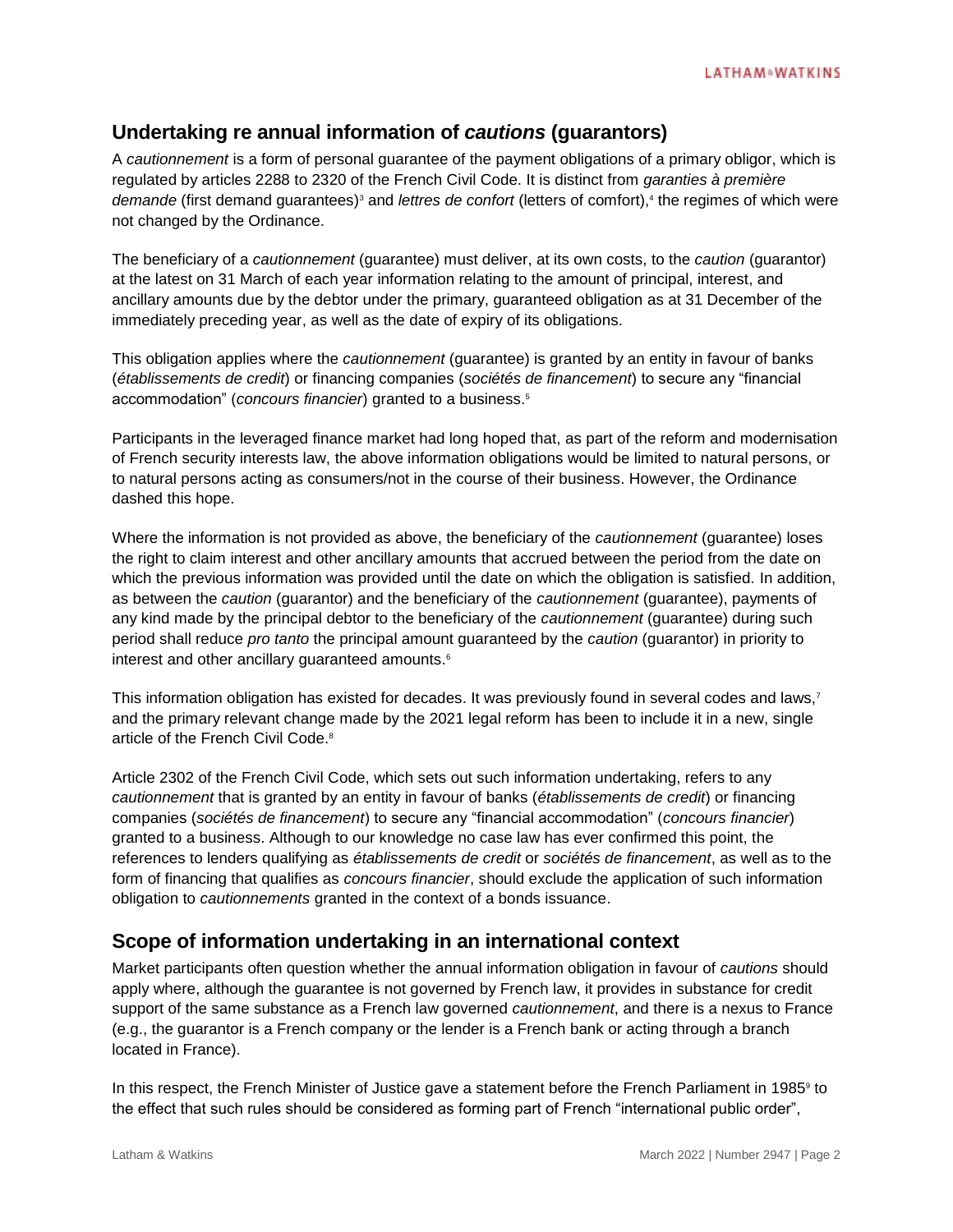# **Undertaking re annual information of** *cautions* **(guarantors)**

A *cautionnement* is a form of personal guarantee of the payment obligations of a primary obligor, which is regulated by articles 2288 to 2320 of the French Civil Code. It is distinct from *garanties à première*  demande (first demand guarantees)<sup>3</sup> and *lettres de confort* (letters of comfort),<sup>4</sup> the regimes of which were not changed by the Ordinance.

The beneficiary of a *cautionnement* (guarantee) must deliver, at its own costs, to the *caution* (guarantor) at the latest on 31 March of each year information relating to the amount of principal, interest, and ancillary amounts due by the debtor under the primary, guaranteed obligation as at 31 December of the immediately preceding year, as well as the date of expiry of its obligations.

This obligation applies where the *cautionnement* (guarantee) is granted by an entity in favour of banks (*établissements de credit*) or financing companies (*sociétés de financement*) to secure any "financial accommodation" (*concours financier*) granted to a business.<sup>5</sup>

Participants in the leveraged finance market had long hoped that, as part of the reform and modernisation of French security interests law, the above information obligations would be limited to natural persons, or to natural persons acting as consumers/not in the course of their business. However, the Ordinance dashed this hope.

Where the information is not provided as above, the beneficiary of the *cautionnement* (guarantee) loses the right to claim interest and other ancillary amounts that accrued between the period from the date on which the previous information was provided until the date on which the obligation is satisfied. In addition, as between the *caution* (guarantor) and the beneficiary of the *cautionnement* (guarantee), payments of any kind made by the principal debtor to the beneficiary of the *cautionnement* (guarantee) during such period shall reduce *pro tanto* the principal amount guaranteed by the *caution* (guarantor) in priority to interest and other ancillary guaranteed amounts.<sup>6</sup>

This information obligation has existed for decades. It was previously found in several codes and laws,<sup>7</sup> and the primary relevant change made by the 2021 legal reform has been to include it in a new, single article of the French Civil Code.<sup>8</sup>

Article 2302 of the French Civil Code, which sets out such information undertaking, refers to any *cautionnement* that is granted by an entity in favour of banks (*établissements de credit*) or financing companies (*sociétés de financement*) to secure any "financial accommodation" (*concours financier*) granted to a business. Although to our knowledge no case law has ever confirmed this point, the references to lenders qualifying as *établissements de credit* or *sociétés de financement*, as well as to the form of financing that qualifies as *concours financier*, should exclude the application of such information obligation to *cautionnements* granted in the context of a bonds issuance.

# **Scope of information undertaking in an international context**

Market participants often question whether the annual information obligation in favour of *cautions* should apply where, although the guarantee is not governed by French law, it provides in substance for credit support of the same substance as a French law governed *cautionnement*, and there is a nexus to France (e.g., the guarantor is a French company or the lender is a French bank or acting through a branch located in France).

In this respect, the French Minister of Justice gave a statement before the French Parliament in 1985<sup>9</sup> to the effect that such rules should be considered as forming part of French "international public order",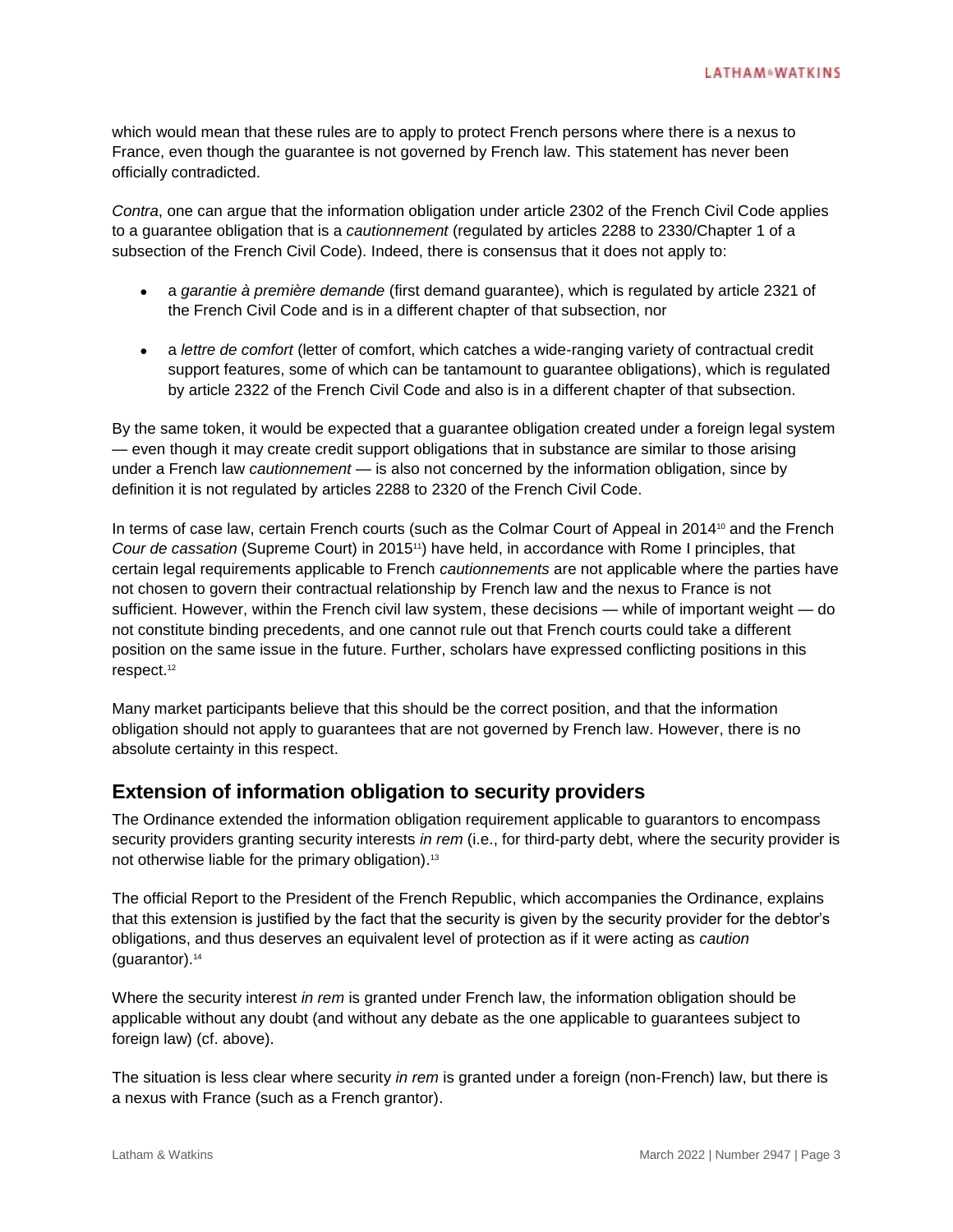which would mean that these rules are to apply to protect French persons where there is a nexus to France, even though the guarantee is not governed by French law. This statement has never been officially contradicted.

*Contra*, one can argue that the information obligation under article 2302 of the French Civil Code applies to a guarantee obligation that is a *cautionnement* (regulated by articles 2288 to 2330/Chapter 1 of a subsection of the French Civil Code). Indeed, there is consensus that it does not apply to:

- a *garantie à première demande* (first demand guarantee), which is regulated by article 2321 of the French Civil Code and is in a different chapter of that subsection, nor
- a *lettre de comfort* (letter of comfort, which catches a wide-ranging variety of contractual credit support features, some of which can be tantamount to guarantee obligations), which is regulated by article 2322 of the French Civil Code and also is in a different chapter of that subsection.

By the same token, it would be expected that a guarantee obligation created under a foreign legal system — even though it may create credit support obligations that in substance are similar to those arising under a French law *cautionnement* — is also not concerned by the information obligation, since by definition it is not regulated by articles 2288 to 2320 of the French Civil Code.

In terms of case law, certain French courts (such as the Colmar Court of Appeal in 2014<sup>10</sup> and the French *Cour de cassation* (Supreme Court) in 201511) have held, in accordance with Rome I principles, that certain legal requirements applicable to French *cautionnements* are not applicable where the parties have not chosen to govern their contractual relationship by French law and the nexus to France is not sufficient. However, within the French civil law system, these decisions — while of important weight — do not constitute binding precedents, and one cannot rule out that French courts could take a different position on the same issue in the future. Further, scholars have expressed conflicting positions in this respect. 12

Many market participants believe that this should be the correct position, and that the information obligation should not apply to guarantees that are not governed by French law. However, there is no absolute certainty in this respect.

## **Extension of information obligation to security providers**

The Ordinance extended the information obligation requirement applicable to guarantors to encompass security providers granting security interests *in rem* (i.e., for third-party debt, where the security provider is not otherwise liable for the primary obligation). 13

The official Report to the President of the French Republic, which accompanies the Ordinance, explains that this extension is justified by the fact that the security is given by the security provider for the debtor's obligations, and thus deserves an equivalent level of protection as if it were acting as *caution* (guarantor).<sup>14</sup>

Where the security interest *in rem* is granted under French law, the information obligation should be applicable without any doubt (and without any debate as the one applicable to guarantees subject to foreign law) (cf. above).

The situation is less clear where security *in rem* is granted under a foreign (non-French) law, but there is a nexus with France (such as a French grantor).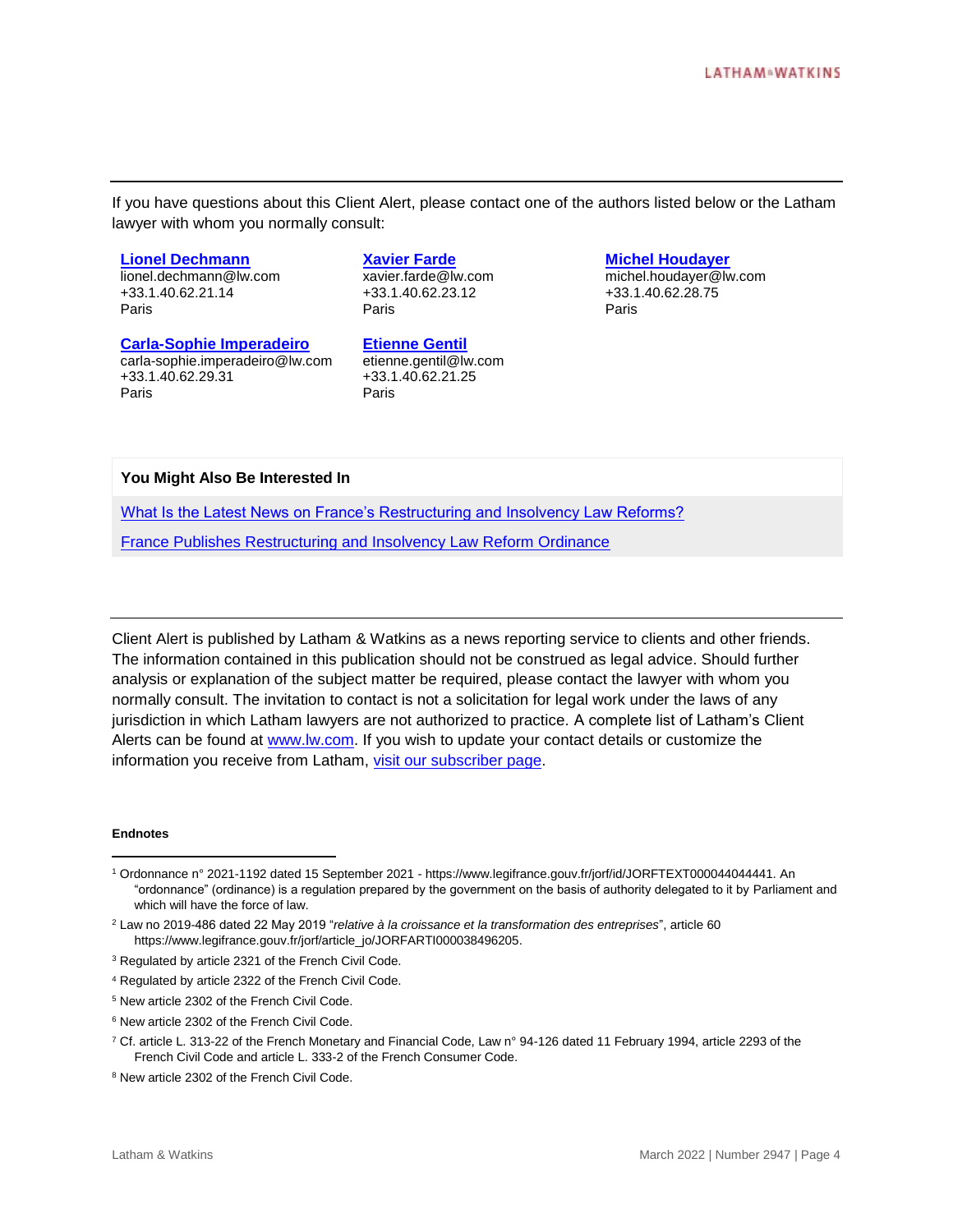If you have questions about this Client Alert, please contact one of the authors listed below or the Latham lawyer with whom you normally consult:

#### **[Lionel Dechmann](https://www.lw.com/people/lionel-dechmann)**

[lionel.dechmann@lw.com](mailto:rick.frenkel@lw.com) +33.1.40.62.21.14 Paris

#### **[Xavier](http://www.lw.com/people/matthew-moore) [Farde](https://www.lw.com/people/xavier-farde)**

[xavier.farde@lw.com](mailto:matthew.moore@lw.com) +33.1.40.62.23.12 Paris

#### **[Carla-Sophie Imperadeiro](https://www.lw.com/people/Carla-SophieImperadeiro)**

carla-sophie.imperadeiro@lw.com +33.1.40.62.29.31 Paris

#### **[Etienne Gentil](https://www.lw.com/people/etienne-gentil)**

[etienne.gentil@lw.com](mailto:matthew.moore@lw.com) +33.1.40.62.21.25 Paris

#### **[Michel Houdayer](https://www.lw.com/people/michel-houdayer)**

[michel.houdayer@lw.com](mailto:matthew.moore@lw.com) +33.1.40.62.28.75 Paris

#### **You Might Also Be Interested In**

[What Is the Latest News on France's Restructuring and Insolvency Law Reforms?](https://www.lw.com/thoughtLeadership/what-is-the-latest-on-france-restructuring-and-insolvency-law-reforms)

[France Publishes Restructuring and Insolvency Law Reform Ordinance](https://www.lw.com/thoughtLeadership/france-publishes-restructuring-and-insolvency-law-reform-ordinance)

Client Alert is published by Latham & Watkins as a news reporting service to clients and other friends. The information contained in this publication should not be construed as legal advice. Should further analysis or explanation of the subject matter be required, please contact the lawyer with whom you normally consult. The invitation to contact is not a solicitation for legal work under the laws of any jurisdiction in which Latham lawyers are not authorized to practice. A complete list of Latham's Client Alerts can be found at [www.lw.com.](http://www.lw.com/) If you wish to update your contact details or customize the information you receive from Latham, [visit our subscriber page.](https://www.sites.lwcommunicate.com/5/2399/forms-english/subscribe.asp)

#### **Endnotes**

 $\overline{a}$ 

<sup>1</sup> Ordonnance n° 2021-1192 dated 15 September 2021 - https://www.legifrance.gouv.fr/jorf/id/JORFTEXT000044044441. An "ordonnance" (ordinance) is a regulation prepared by the government on the basis of authority delegated to it by Parliament and which will have the force of law.

<sup>2</sup> Law no 2019-486 dated 22 May 2019 "*relative à la croissance et la transformation des entreprises*", article 60 https://www.legifrance.gouv.fr/jorf/article\_jo/JORFARTI000038496205.

<sup>&</sup>lt;sup>3</sup> Regulated by article 2321 of the French Civil Code.

<sup>4</sup> Regulated by article 2322 of the French Civil Code.

<sup>5</sup> New article 2302 of the French Civil Code.

<sup>6</sup> New article 2302 of the French Civil Code.

<sup>7</sup> Cf. article L. 313-22 of the French Monetary and Financial Code, Law n° 94-126 dated 11 February 1994, article 2293 of the French Civil Code and article L. 333-2 of the French Consumer Code.

<sup>8</sup> New article 2302 of the French Civil Code.